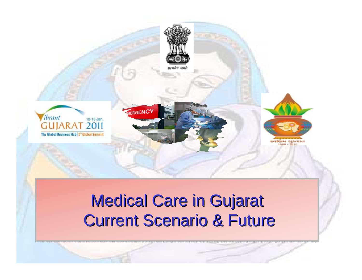

# Medical Care in Gujarat Medical Care in Gujarat Current Scenario & Future Current Scenario & Future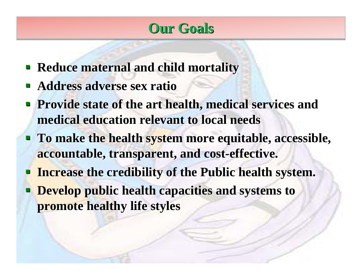### **Our Goals Our Goals**

- **Reduce maternal and child mortality**
- $\mathcal{L}_{\mathcal{A}}$ **Address adverse sex ratio**
- **Provide state of the art health, medical services and medical education relevant to local needs medical education relevant to local needs**
- **To make the health system more equitable, accessible, accountable, transparent, and cost accountable, transparent, and cost-effective. effective.**
- **Increase the credibility of the Public health system. Increase the credibility of the Public health system.**
- **P Develop public health capacities and systems to promote healthy life styles promote healthy life styles**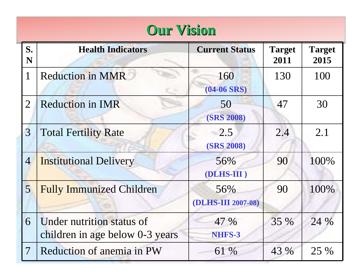## **Our Vision Our Vision**

| S.<br>N         | <b>Health Indicators</b>                                     | <b>Current Status</b>     | <b>Target</b><br>2011 | <b>Target</b><br>2015 |
|-----------------|--------------------------------------------------------------|---------------------------|-----------------------|-----------------------|
| $\mathbf{1}$    | <b>Reduction in MMR</b>                                      | 160<br>$(04-06$ SRS)      | 130                   | 100                   |
| $\overline{2}$  | <b>Reduction in IMR</b>                                      | 50<br><b>(SRS 2008)</b>   | 47                    | 30                    |
| $\overline{3}$  | <b>Total Fertility Rate</b>                                  | 2.5<br><b>(SRS 2008)</b>  | 2.4                   | 2.1                   |
| $\overline{4}$  | <b>Institutional Delivery</b>                                | 56%<br>(DLHS-III)         | 90                    | 100%                  |
| $\overline{5}$  | <b>Fully Immunized Children</b>                              | 56%<br>(DLHS-III 2007-08) | 90                    | 100%                  |
| 6               | Under nutrition status of<br>children in age below 0-3 years | 47 %<br>NHFS-3            | 35 %                  | 24 %                  |
| $7\phantom{.0}$ | <b>Reduction of anemia in PW</b>                             | 61 %                      | 43 %                  | 25 %                  |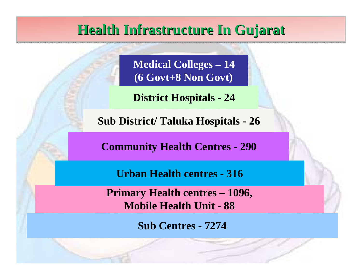### **Health Infrastructure In Gujarat Health Infrastructure In Gujarat**

**Medical Colleges – 14 (6 Govt+8 Non Govt)**

**District Hospitals - 24**

**Sub District/ Taluka Hospitals - 26**

**Community Health Centres - 290**

**Urban Health centres - 316**

**Primary Health centres – 1096, Mobile Health Unit - 88**

**Sub Centres - 7274**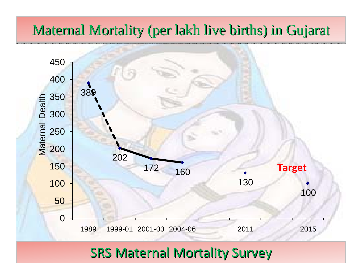### Maternal Mortality (per lakh live births) in Gujarat



### SRS Maternal Mortality Survey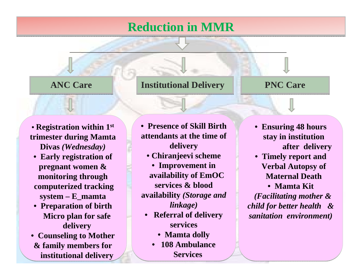#### **Reduction in MMR Reduction in MMR**

#### **ANC Care**

#### **ANC Care Institutional Delivery Institutional Delivery PNC Care PNC Care**

• **Registration within 1st** • **Registration within 1st trimester during Mamta trimester during Mamta Divas** *(Wednesday)* **Divas** *(Wednesday)*

- **Early registration of Early registration of pregnant women & pregnant women & monitoring through monitoring through computerized tracking computerized tracking system – E\_mamta system – E\_mamta**
- **Preparation of birth Preparation of birth Micro plan for safe Micro plan for safe delivery delivery**
- **Counseling to Mother Counseling to Mother & family members for & family members for institutional delivery institutional delivery**

• **Presence of Skill Birth**  • **Presence of Skill Birth attendants at the time of attendants at the time of delivery delivery**

- **Chiranjeevi scheme Chiranjeevi scheme**
- **Improvement in Improvement in availability of EmOC availability of EmOC services & blood services & blood availability** *(Storage and*  **availability** *(Storage and linkage) linkage)*
	- **Referral of delivery Referral of delivery servicesservices**
		- **Mamta dolly Mamta dolly**
		- • **108 Ambulance 108 Ambulance ServicesServices**•
- **Ensuring 48 hours Ensuring 48 hours stay in institution stay in institution after delivery after delivery**
- **Timely report and Timely report and Verbal Autopsy of Verbal Autopsy of Maternal DeathMaternal Death**

• **Mamta Kit** • **Mamta Kit**

*(Facilitating mother & (Facilitating mother & child for better health & child for better health & sanitation environment) sanitation environment)*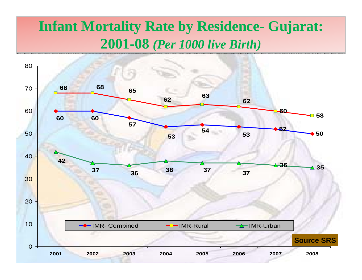### **Infant Mortality Rate by Residence- Gujarat: Infant Mortality Rate by Residence- Gujarat: 2001-08** *(Per 1000 live Birth)* **2001-08** *(Per 1000 live Birth)*

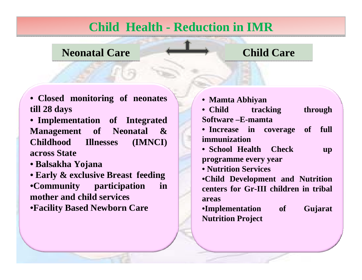#### **Child Health - Reduction in IMR Child Health - Reduction in IMR**

#### **Neonatal Care Neonatal Care Child Care Child Care**

| • Closed monitoring of neonates           | • Mamta Abhiyan                       |
|-------------------------------------------|---------------------------------------|
| till 28 days                              | • Child<br>tracking<br>through        |
| • Implementation of Integrated            | Software - E-mamta                    |
| <b>Management</b> of Neonatal<br>$\infty$ | full<br>• Increase in coverage of     |
| <b>Childhood</b> Illnesses<br>(IMNCI)     | immunization                          |
| across State                              | • School Health Check<br><b>up</b>    |
| • Balsakha Yojana                         | programme every year                  |
|                                           | • Nutrition Services                  |
| • Early & exclusive Breast feeding        | •Child Development and Nutrition      |
| •Community participation<br>in            | centers for Gr-III children in tribal |
| mother and child services                 | areas                                 |
| <b>•Facility Based Newborn Care</b>       | •Implementation of<br>Gujarat         |
|                                           | <b>Nutrition Project</b>              |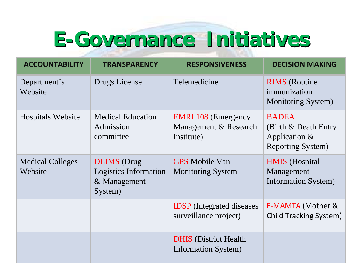# **E-Governance Initiatives Governance Initiatives**

| <b>ACCOUNTABILITY</b>              | <b>TRANSPARENCY</b>                                                    | <b>RESPONSIVENESS</b>                                             | <b>DECISION MAKING</b>                                                                 |
|------------------------------------|------------------------------------------------------------------------|-------------------------------------------------------------------|----------------------------------------------------------------------------------------|
| Department's<br>Website            | Drugs License                                                          | Telemedicine                                                      | <b>RIMS</b> (Routine<br>immunization<br><b>Monitoring System</b> )                     |
| <b>Hospitals Website</b>           | <b>Medical Education</b><br>Admission<br>committee                     | <b>EMRI</b> 108 (Emergency<br>Management & Research<br>Institute) | <b>BADEA</b><br>(Birth & Death Entry)<br>Application $\&$<br><b>Reporting System</b> ) |
| <b>Medical Colleges</b><br>Website | <b>DLIMS</b> (Drug<br>Logistics Information<br>& Management<br>System) | <b>GPS</b> Mobile Van<br><b>Monitoring System</b>                 | <b>HMIS</b> (Hospital<br>Management<br><b>Information System</b> )                     |
|                                    |                                                                        | <b>IDSP</b> (Integrated diseases)<br>surveillance project)        | E-MAMTA (Mother &<br><b>Child Tracking System)</b>                                     |
|                                    |                                                                        | <b>DHIS</b> (District Health)<br><b>Information System</b> )      |                                                                                        |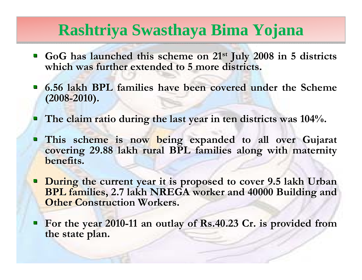## **Rashtriya Swasthaya Bima Yojana Rashtriya Swasthaya Bima Yojana**

- **GoG** has launched this scheme on 21<sup>st</sup> July 2008 in 5 districts **which was further extended to 5 more districts. which was further extended to 5 more districts.**
- **6.56 lakh BPL families have been covered under the Scheme (2008 -2010).**
- **The claim ratio during the last year in ten districts was 104%. The claim ratio during the last year in ten districts was 104%.**
- This scheme is now being expanded to all over Gujarat covering 29.88 lakh rural BPL families along with maternity **benefits.**
- **During the current year it is proposed to cover 9.5 lakh Urban BPL families, 2.7 lakh NREGA worker and 40000 Building and Other Construction Workers.**
- **For the year 2010-11 an outlay of Rs.40.23 Cr. is provided from** the state plan.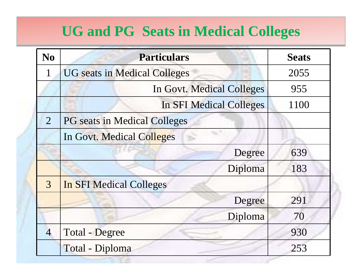### UG and PG Seats in Medical Colleges

| No             | <b>Particulars</b>                  | <b>Seats</b> |
|----------------|-------------------------------------|--------------|
| $\mathbf{1}$   | <b>UG</b> seats in Medical Colleges | 2055         |
|                | In Govt. Medical Colleges           | 955          |
|                | In SFI Medical Colleges             | 1100         |
| $\overline{2}$ | <b>PG</b> seats in Medical Colleges |              |
|                | In Govt. Medical Colleges           |              |
|                | Degree                              | 639          |
|                | Diploma                             | 183          |
| $\overline{3}$ | <b>In SFI Medical Colleges</b>      |              |
|                | Degree                              | 291          |
|                | Diploma                             | 70           |
| $\overline{4}$ | Total - Degree                      | 930          |
|                | Total - Diploma                     | 253          |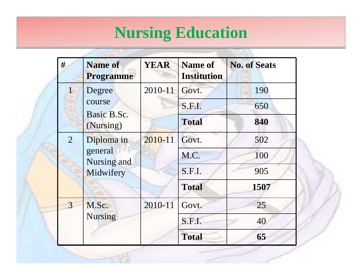# **Nursing Education Nursing Education**

| #              | <b>Name of</b><br><b>Programme</b>                           | <b>YEAR</b> | <b>Name of</b><br><b>Institution</b> | <b>No. of Seats</b> |
|----------------|--------------------------------------------------------------|-------------|--------------------------------------|---------------------|
| $\mathbf{1}$   | 2010-11<br>Degree<br>course<br>Basic B.Sc.<br>(Nursing)      | Govt.       | 190                                  |                     |
|                |                                                              |             | S.F.I.                               | 650                 |
|                |                                                              |             | <b>Total</b>                         | 840                 |
| $\overline{2}$ | 2010-11<br>Diploma in<br>general<br>Nursing and<br>Midwifery |             | Govt.                                | 502                 |
|                |                                                              |             | M.C.                                 | 100                 |
|                |                                                              | S.F.I.      | 905                                  |                     |
|                |                                                              |             | <b>Total</b>                         | 1507                |
| 3              | M.Sc.<br><b>Nursing</b>                                      | 2010-11     | Govt.                                | 25                  |
|                |                                                              |             | S.F.I.                               | 40                  |
|                |                                                              |             | <b>Total</b>                         | 65                  |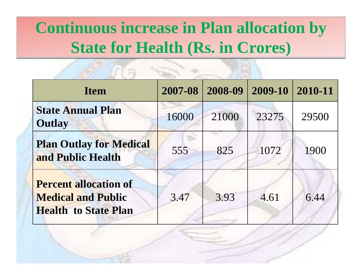# **Continuous increase in Plan allocation by Continuous increase in Plan allocation by State for Health (Rs. in Crores) State for Health (Rs. in Crores)**

a na san

| <b>Item</b>                                                                              | 2007-08 | 2008-09 | 2009-10 | 2010-11 |
|------------------------------------------------------------------------------------------|---------|---------|---------|---------|
| <b>State Annual Plan</b><br><b>Outlay</b>                                                | 16000   | 21000   | 23275   | 29500   |
| <b>Plan Outlay for Medical</b><br>and Public Health                                      | 555     | 825     | 1072    | 1900    |
| <b>Percent allocation of</b><br><b>Medical and Public</b><br><b>Health to State Plan</b> | 3.47    | 3.93    | 4.61    | 6.44    |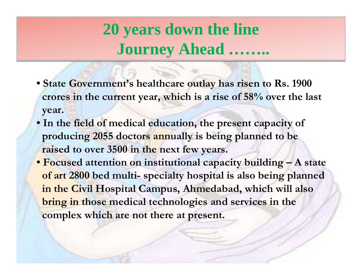# **20 years down the line 20 years down the line Journey Ahead …….. Journey Ahead ……..**

- **State Government's healthcare outlay has risen to Rs. 1900 crores in the current year, which is a rise of 58% over the last year.**
- **In the field of medical education, the present capacity of producing 2055 doctors annually is being planned to be raised to over 3500 in the next few years.**
- **Focused attention on institutional capacity building – A state of art 2800 bed multi- specialty hospital is also being planned in the Civil Hospital Campus, Ahmedabad, which will also bring in those medical technologies and services in the complex which are not there at present.**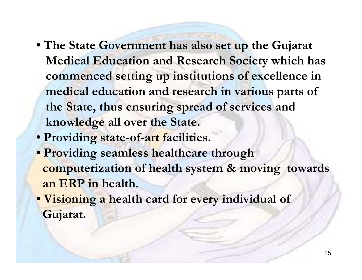- **The State Government has also set up the Gujarat Medical Education and Research Society which has commenced setting up institutions of excellence in medical education and research in various parts of the State, thus ensuring spread of services and knowledge all over the State.**
- **Providing state-of-art facilities.**
- **Providing seamless healthcare through computerization of health system & moving towards an ERP in health.**
- **Visioning a health card for every individual of Gujarat.**